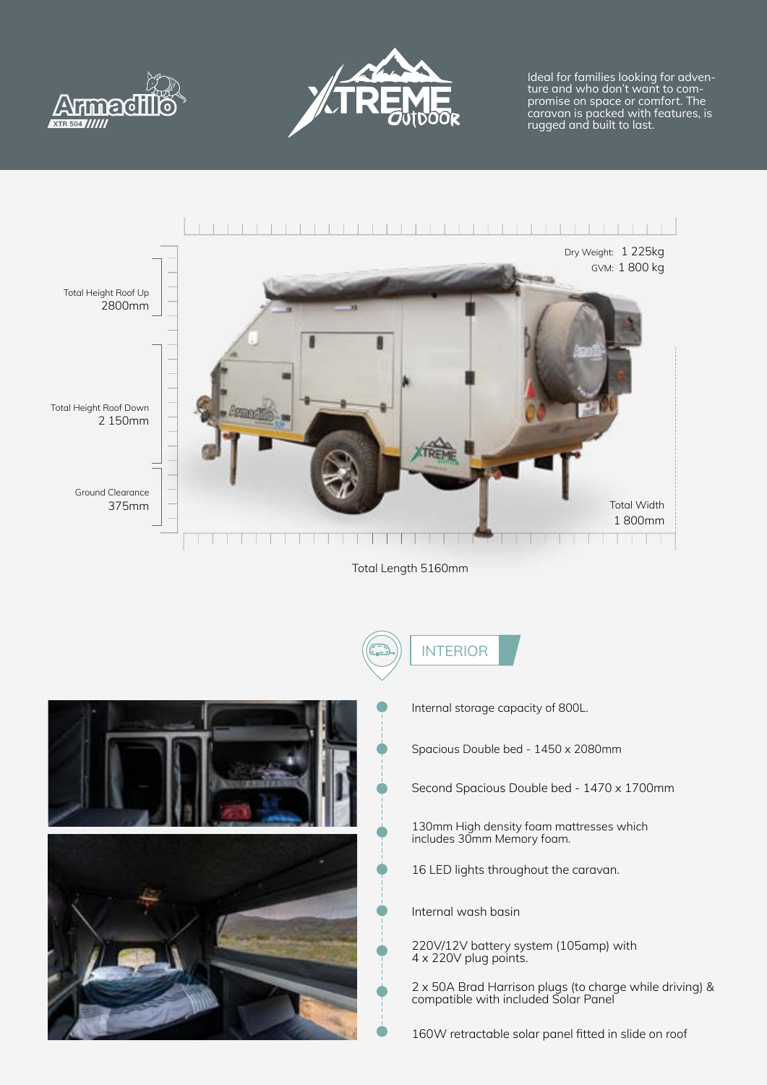



Ideal for families looking for adventure and who don't want to compromise on space or comfort. The caravan is packed with features, is rugged and built to last.



Total Length 5160mm



- INTERIOR
	- Internal storage capacity of 800L.

Spacious Double bed - 1450 x 2080mm

Second Spacious Double bed - 1470 x 1700mm

130mm High density foam mattresses which includes 30mm Memory foam.

16 LED lights throughout the caravan.

Internal wash basin

220V/12V battery system (105amp) with 4 x 220V plug points.

2 x 50A Brad Harrison plugs (to charge while driving) & compatible with included Solar Panel

160W retractable solar panel fitted in slide on roof